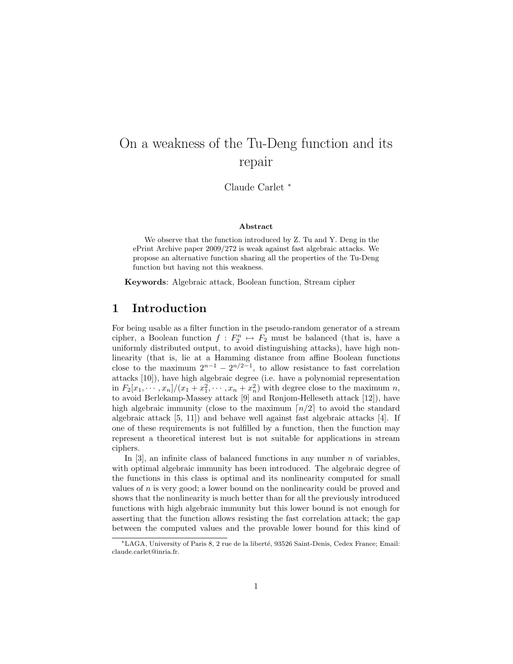# On a weakness of the Tu-Deng function and its repair

Claude Carlet <sup>∗</sup>

#### Abstract

We observe that the function introduced by Z. Tu and Y. Deng in the ePrint Archive paper 2009/272 is weak against fast algebraic attacks. We propose an alternative function sharing all the properties of the Tu-Deng function but having not this weakness.

Keywords: Algebraic attack, Boolean function, Stream cipher

## 1 Introduction

For being usable as a filter function in the pseudo-random generator of a stream cipher, a Boolean function  $f: F_2^n \mapsto F_2$  must be balanced (that is, have a uniformly distributed output, to avoid distinguishing attacks), have high nonlinearity (that is, lie at a Hamming distance from affine Boolean functions close to the maximum  $2^{n-1} - 2^{n/2-1}$ , to allow resistance to fast correlation attacks [10]), have high algebraic degree (i.e. have a polynomial representation in  $F_2[x_1, \dots, x_n]/(x_1 + x_1^2, \dots, x_n + x_n^2)$  with degree close to the maximum n, to avoid Berlekamp-Massey attack [9] and Rønjom-Helleseth attack [12]), have high algebraic immunity (close to the maximum  $\lceil n/2 \rceil$  to avoid the standard algebraic attack [5, 11]) and behave well against fast algebraic attacks [4]. If one of these requirements is not fulfilled by a function, then the function may represent a theoretical interest but is not suitable for applications in stream ciphers.

In [3], an infinite class of balanced functions in any number  $n$  of variables, with optimal algebraic immunity has been introduced. The algebraic degree of the functions in this class is optimal and its nonlinearity computed for small values of  $n$  is very good; a lower bound on the nonlinearity could be proved and shows that the nonlinearity is much better than for all the previously introduced functions with high algebraic immunity but this lower bound is not enough for asserting that the function allows resisting the fast correlation attack; the gap between the computed values and the provable lower bound for this kind of

<sup>∗</sup>LAGA, University of Paris 8, 2 rue de la libert´e, 93526 Saint-Denis, Cedex France; Email: claude.carlet@inria.fr.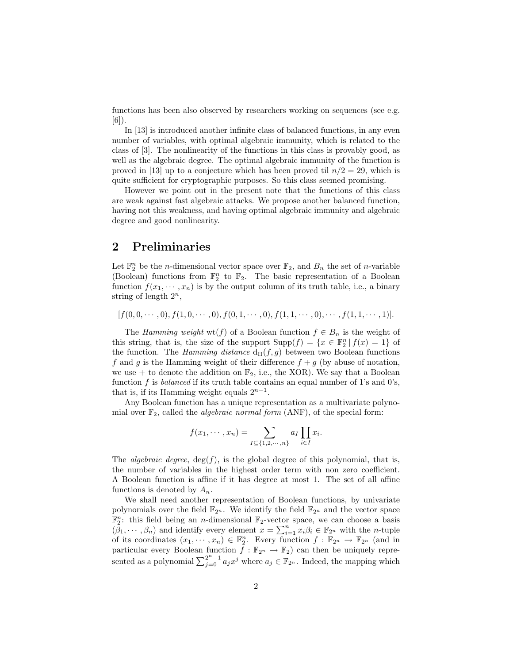functions has been also observed by researchers working on sequences (see e.g. [6]).

In [13] is introduced another infinite class of balanced functions, in any even number of variables, with optimal algebraic immunity, which is related to the class of [3]. The nonlinearity of the functions in this class is provably good, as well as the algebraic degree. The optimal algebraic immunity of the function is proved in [13] up to a conjecture which has been proved til  $n/2 = 29$ , which is quite sufficient for cryptographic purposes. So this class seemed promising.

However we point out in the present note that the functions of this class are weak against fast algebraic attacks. We propose another balanced function, having not this weakness, and having optimal algebraic immunity and algebraic degree and good nonlinearity.

## 2 Preliminaries

Let  $\mathbb{F}_2^n$  be the *n*-dimensional vector space over  $\mathbb{F}_2$ , and  $B_n$  the set of *n*-variable (Boolean) functions from  $\mathbb{F}_2^n$  to  $\mathbb{F}_2$ . The basic representation of a Boolean function  $f(x_1, \dots, x_n)$  is by the output column of its truth table, i.e., a binary string of length  $2^n$ ,

 $[f(0, 0, \cdots, 0), f(1, 0, \cdots, 0), f(0, 1, \cdots, 0), f(1, 1, \cdots, 0), \cdots, f(1, 1, \cdots, 1)].$ 

The Hamming weight wt(f) of a Boolean function  $f \in B_n$  is the weight of this string, that is, the size of the support  $\text{Supp}(f) = \{x \in \mathbb{F}_2^n | f(x) = 1\}$  of the function. The Hamming distance  $d_H(f, g)$  between two Boolean functions f and g is the Hamming weight of their difference  $f + g$  (by abuse of notation, we use + to denote the addition on  $\mathbb{F}_2$ , i.e., the XOR). We say that a Boolean function f is balanced if its truth table contains an equal number of 1's and 0's, that is, if its Hamming weight equals  $2^{n-1}$ .

Any Boolean function has a unique representation as a multivariate polynomial over  $\mathbb{F}_2$ , called the *algebraic normal form* (ANF), of the special form:

$$
f(x_1, \dots, x_n) = \sum_{I \subseteq \{1, 2, \dots, n\}} a_I \prod_{i \in I} x_i.
$$

The *algebraic degree*,  $deg(f)$ , is the global degree of this polynomial, that is, the number of variables in the highest order term with non zero coefficient. A Boolean function is affine if it has degree at most 1. The set of all affine functions is denoted by  $A_n$ .

We shall need another representation of Boolean functions, by univariate polynomials over the field  $\mathbb{F}_{2^n}$ . We identify the field  $\mathbb{F}_{2^n}$  and the vector space  $\mathbb{F}_2^n$ : this field being an *n*-dimensional  $\mathbb{F}_2$ -vector space, we can choose a basis  $(\beta_1, \dots, \beta_n)$  and identify every element  $x = \sum_{i=1}^n x_i \beta_i \in \mathbb{F}_{2^n}$  with the *n*-tuple of its coordinates  $(x_1, \dots, x_n) \in \mathbb{F}_2^n$ . Every function  $f : \mathbb{F}_{2^n} \to \mathbb{F}_{2^n}$  (and in particular every Boolean function  $f : \mathbb{F}_{2^n} \to \mathbb{F}_2$  can then be uniquely represented as a polynomial  $\sum_{j=0}^{2^n-1} a_j x^j$  where  $a_j \in \mathbb{F}_{2^n}$ . Indeed, the mapping which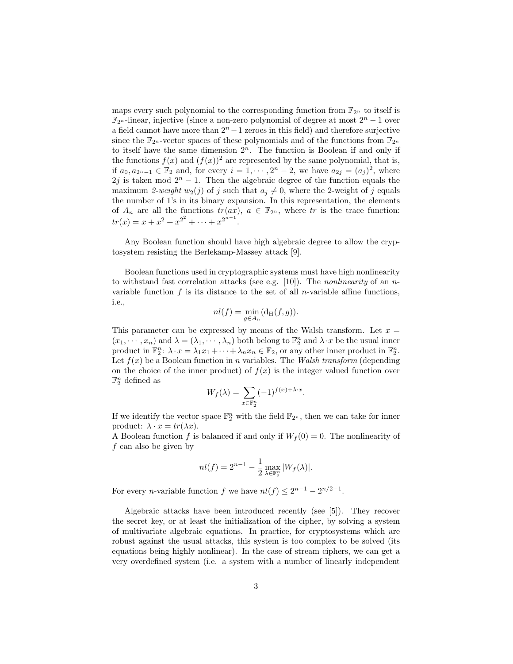maps every such polynomial to the corresponding function from  $\mathbb{F}_{2^n}$  to itself is  $\mathbb{F}_{2^n}$ -linear, injective (since a non-zero polynomial of degree at most  $2^n - 1$  over a field cannot have more than  $2<sup>n</sup> - 1$  zeroes in this field) and therefore surjective since the  $\mathbb{F}_{2^n}$ -vector spaces of these polynomials and of the functions from  $\mathbb{F}_{2^n}$ to itself have the same dimension  $2<sup>n</sup>$ . The function is Boolean if and only if the functions  $f(x)$  and  $(f(x))^2$  are represented by the same polynomial, that is, if  $a_0, a_{2^n-1} \in \mathbb{F}_2$  and, for every  $i = 1, \dots, 2^n - 2$ , we have  $a_{2j} = (a_j)^2$ , where 2j is taken mod  $2<sup>n</sup> - 1$ . Then the algebraic degree of the function equals the maximum 2-weight  $w_2(j)$  of j such that  $a_j \neq 0$ , where the 2-weight of j equals the number of 1's in its binary expansion. In this representation, the elements of  $A_n$  are all the functions  $tr(ax)$ ,  $a \in \mathbb{F}_{2^n}$ , where tr is the trace function:  $tr(x) = x + x^2 + x^{2^2} + \cdots + x^{2^{n-1}}.$ 

Any Boolean function should have high algebraic degree to allow the cryptosystem resisting the Berlekamp-Massey attack [9].

Boolean functions used in cryptographic systems must have high nonlinearity to withstand fast correlation attacks (see e.g. [10]). The *nonlinearity* of an *n*variable function  $f$  is its distance to the set of all *n*-variable affine functions, i.e.,

$$
nl(f) = \min_{g \in A_n} (\mathrm{d_H}(f,g)).
$$

This parameter can be expressed by means of the Walsh transform. Let  $x =$  $(x_1, \dots, x_n)$  and  $\lambda = (\lambda_1, \dots, \lambda_n)$  both belong to  $\mathbb{F}_2^n$  and  $\lambda \cdot x$  be the usual inner product in  $\mathbb{F}_2^n$ :  $\lambda \cdot x = \lambda_1 x_1 + \cdots + \lambda_n x_n \in \mathbb{F}_2$ , or any other inner product in  $\mathbb{F}_2^n$ . Let  $f(x)$  be a Boolean function in n variables. The Walsh transform (depending on the choice of the inner product) of  $f(x)$  is the integer valued function over  $\mathbb{F}_2^n$  defined as

$$
W_f(\lambda) = \sum_{x \in \mathbb{F}_2^n} (-1)^{f(x) + \lambda \cdot x}.
$$

If we identify the vector space  $\mathbb{F}_2^n$  with the field  $\mathbb{F}_{2^n}$ , then we can take for inner product:  $\lambda \cdot x = tr(\lambda x)$ .

A Boolean function f is balanced if and only if  $W_f(0) = 0$ . The nonlinearity of  $f$  can also be given by

$$
nl(f) = 2^{n-1} - \frac{1}{2} \max_{\lambda \in \mathbb{F}_2^n} |W_f(\lambda)|.
$$

For every *n*-variable function f we have  $nl(f) \leq 2^{n-1} - 2^{n/2-1}$ .

Algebraic attacks have been introduced recently (see [5]). They recover the secret key, or at least the initialization of the cipher, by solving a system of multivariate algebraic equations. In practice, for cryptosystems which are robust against the usual attacks, this system is too complex to be solved (its equations being highly nonlinear). In the case of stream ciphers, we can get a very overdefined system (i.e. a system with a number of linearly independent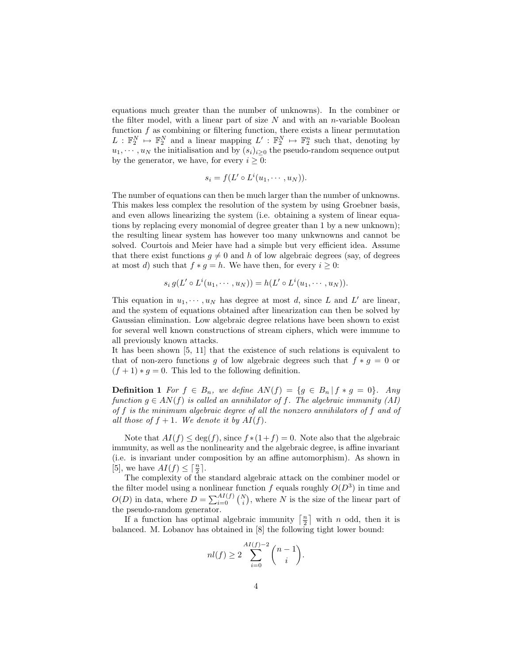equations much greater than the number of unknowns). In the combiner or the filter model, with a linear part of size  $N$  and with an *n*-variable Boolean function  $f$  as combining or filtering function, there exists a linear permutation  $L: \mathbb{F}_2^N \to \mathbb{F}_2^N$  and a linear mapping  $L': \mathbb{F}_2^N \to \mathbb{F}_2^n$  such that, denoting by  $u_1, \dots, u_N$  the initialisation and by  $(s_i)_{i\geq 0}$  the pseudo-random sequence output by the generator, we have, for every  $i \geq 0$ :

$$
s_i = f(L' \circ L^i(u_1, \cdots, u_N)).
$$

The number of equations can then be much larger than the number of unknowns. This makes less complex the resolution of the system by using Groebner basis, and even allows linearizing the system (i.e. obtaining a system of linear equations by replacing every monomial of degree greater than 1 by a new unknown); the resulting linear system has however too many unkwnowns and cannot be solved. Courtois and Meier have had a simple but very efficient idea. Assume that there exist functions  $q \neq 0$  and h of low algebraic degrees (say, of degrees at most d) such that  $f * g = h$ . We have then, for every  $i \geq 0$ :

$$
s_i g(L' \circ L^i(u_1, \cdots, u_N)) = h(L' \circ L^i(u_1, \cdots, u_N)).
$$

This equation in  $u_1, \dots, u_N$  has degree at most d, since L and L' are linear, and the system of equations obtained after linearization can then be solved by Gaussian elimination. Low algebraic degree relations have been shown to exist for several well known constructions of stream ciphers, which were immune to all previously known attacks.

It has been shown [5, 11] that the existence of such relations is equivalent to that of non-zero functions g of low algebraic degrees such that  $f * g = 0$  or  $(f + 1) * g = 0$ . This led to the following definition.

**Definition 1** For  $f \in B_n$ , we define  $AN(f) = \{g \in B_n | f * g = 0\}$ . Any function  $g \in AN(f)$  is called an annihilator of f. The algebraic immunity (AI) of f is the minimum algebraic degree of all the nonzero annihilators of f and of all those of  $f + 1$ . We denote it by  $AI(f)$ .

Note that  $AI(f) \leq deg(f)$ , since  $f * (1 + f) = 0$ . Note also that the algebraic immunity, as well as the nonlinearity and the algebraic degree, is affine invariant (i.e. is invariant under composition by an affine automorphism). As shown in [5], we have  $AI(f) \leq \lceil \frac{n}{2} \rceil$ .

The complexity of the standard algebraic attack on the combiner model or the filter model using a nonlinear function f equals roughly  $O(D^3)$  in time and  $O(D)$  in data, where  $D = \sum_{i=0}^{AI(f)} {N \choose i}$ , where N is the size of the linear part of the pseudo-random generator.

If a function has optimal algebraic immunity  $\lceil \frac{n}{2} \rceil$  with n odd, then it is balanced. M. Lobanov has obtained in [8] the following tight lower bound:

$$
nl(f) \ge 2\sum_{i=0}^{AI(f)-2} \binom{n-1}{i}.
$$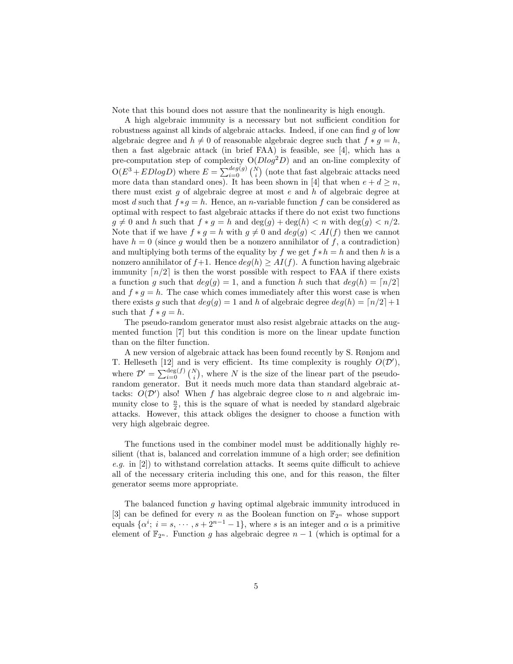Note that this bound does not assure that the nonlinearity is high enough.

A high algebraic immunity is a necessary but not sufficient condition for robustness against all kinds of algebraic attacks. Indeed, if one can find g of low algebraic degree and  $h \neq 0$  of reasonable algebraic degree such that  $f * g = h$ , then a fast algebraic attack (in brief FAA) is feasible, see [4], which has a pre-computation step of complexity  $O(D\log^2 D)$  and an on-line complexity of  $O(E^3 + EDlog D)$  where  $E = \sum_{i=0}^{deg(g)} {N \choose i}$  (note that fast algebraic attacks need more data than standard ones). It has been shown in [4] that when  $e + d \ge n$ , there must exist g of algebraic degree at most  $e$  and  $h$  of algebraic degree at most d such that  $f * g = h$ . Hence, an n-variable function f can be considered as optimal with respect to fast algebraic attacks if there do not exist two functions  $g \neq 0$  and h such that  $f * g = h$  and  $deg(g) + deg(h) < n$  with  $deg(g) < n/2$ . Note that if we have  $f * g = h$  with  $g \neq 0$  and  $deg(g) < AI(f)$  then we cannot have  $h = 0$  (since g would then be a nonzero annihilator of f, a contradiction) and multiplying both terms of the equality by f we get  $f * h = h$  and then h is a nonzero annihilator of  $f+1$ . Hence  $deg(h) \geq AI(f)$ . A function having algebraic immunity  $\lceil n/2 \rceil$  is then the worst possible with respect to FAA if there exists a function g such that  $deg(q) = 1$ , and a function h such that  $deg(h) = \lfloor n/2 \rfloor$ and  $f * q = h$ . The case which comes immediately after this worst case is when there exists g such that  $deg(g) = 1$  and h of algebraic degree  $deg(h) = \lfloor n/2 \rfloor + 1$ such that  $f * q = h$ .

The pseudo-random generator must also resist algebraic attacks on the augmented function [7] but this condition is more on the linear update function than on the filter function.

A new version of algebraic attack has been found recently by S. Rønjom and T. Helleseth [12] and is very efficient. Its time complexity is roughly  $O(D')$ , where  $\mathcal{D}' = \sum_{i=0}^{\deg(f)} {N \choose i}$ , where N is the size of the linear part of the pseudorandom generator. But it needs much more data than standard algebraic attacks:  $O(D')$  also! When f has algebraic degree close to n and algebraic immunity close to  $\frac{n}{2}$ , this is the square of what is needed by standard algebraic attacks. However, this attack obliges the designer to choose a function with very high algebraic degree.

The functions used in the combiner model must be additionally highly resilient (that is, balanced and correlation immune of a high order; see definition e.g. in [2]) to withstand correlation attacks. It seems quite difficult to achieve all of the necessary criteria including this one, and for this reason, the filter generator seems more appropriate.

The balanced function g having optimal algebraic immunity introduced in [3] can be defined for every n as the Boolean function on  $\mathbb{F}_{2^n}$  whose support equals  $\{\alpha^i; i = s, \dots, s + 2^{n-1} - 1\}$ , where s is an integer and  $\alpha$  is a primitive element of  $\mathbb{F}_{2^n}$ . Function g has algebraic degree  $n-1$  (which is optimal for a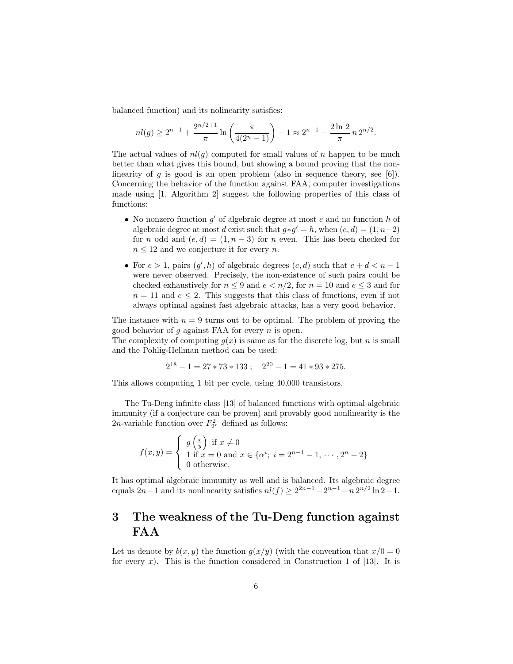balanced function) and its nolinearity satisfies:

$$
nl(g) \ge 2^{n-1} + \frac{2^{n/2+1}}{\pi} \ln \left( \frac{\pi}{4(2^n - 1)} \right) - 1 \approx 2^{n-1} - \frac{2 \ln 2}{\pi} n 2^{n/2}.
$$

The actual values of  $nl(q)$  computed for small values of n happen to be much better than what gives this bound, but showing a bound proving that the nonlinearity of g is good is an open problem (also in sequence theory, see [6]). Concerning the behavior of the function against FAA, computer investigations made using [1, Algorithm 2] suggest the following properties of this class of functions:

- No nonzero function  $g'$  of algebraic degree at most  $e$  and no function  $h$  of algebraic degree at most d exist such that  $g * g' = h$ , when  $(e, d) = (1, n-2)$ for n odd and  $(e, d) = (1, n - 3)$  for n even. This has been checked for  $n \leq 12$  and we conjecture it for every n.
- For  $e > 1$ , pairs  $(g', h)$  of algebraic degrees  $(e, d)$  such that  $e + d < n 1$ were never observed. Precisely, the non-existence of such pairs could be checked exhaustively for  $n \leq 9$  and  $e \leq n/2$ , for  $n = 10$  and  $e \leq 3$  and for  $n = 11$  and  $e \leq 2$ . This suggests that this class of functions, even if not always optimal against fast algebraic attacks, has a very good behavior.

The instance with  $n = 9$  turns out to be optimal. The problem of proving the good behavior of  $g$  against FAA for every  $n$  is open.

The complexity of computing  $q(x)$  is same as for the discrete log, but n is small and the Pohlig-Hellman method can be used:

$$
2^{18} - 1 = 27 \times 73 \times 133 ; \quad 2^{20} - 1 = 41 \times 93 \times 275.
$$

This allows computing 1 bit per cycle, using 40,000 transistors.

The Tu-Deng infinite class [13] of balanced functions with optimal algebraic immunity (if a conjecture can be proven) and provably good nonlinearity is the 2*n*-variable function over  $F_{2^n}^2$  defined as follows:

$$
f(x,y) = \begin{cases} g\left(\frac{x}{y}\right) & \text{if } x \neq 0\\ 1 & \text{if } x = 0 \text{ and } x \in \{\alpha^i; \ i = 2^{n-1} - 1, \cdots, 2^n - 2\} \\ 0 & \text{otherwise.} \end{cases}
$$

It has optimal algebraic immunity as well and is balanced. Its algebraic degree equals  $2n-1$  and its nonlinearity satisfies  $nl(f) \geq 2^{2n-1} - 2^{n-1} - n 2^{n/2} \ln 2 - 1$ .

# 3 The weakness of the Tu-Deng function against FAA

Let us denote by  $b(x, y)$  the function  $g(x/y)$  (with the convention that  $x/0 = 0$ for every  $x$ ). This is the function considered in Construction 1 of [13]. It is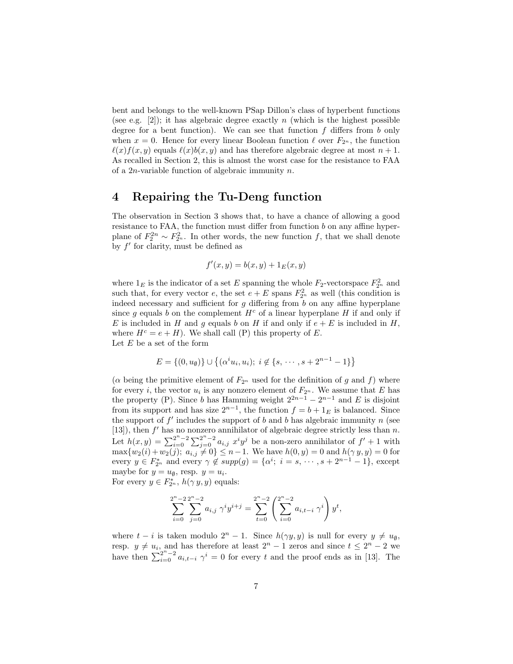bent and belongs to the well-known PSap Dillon's class of hyperbent functions (see e.g. [2]); it has algebraic degree exactly n (which is the highest possible degree for a bent function). We can see that function  $f$  differs from b only when  $x = 0$ . Hence for every linear Boolean function  $\ell$  over  $F_{2n}$ , the function  $\ell(x)f(x, y)$  equals  $\ell(x)b(x, y)$  and has therefore algebraic degree at most  $n + 1$ . As recalled in Section 2, this is almost the worst case for the resistance to FAA of a  $2n$ -variable function of algebraic immunity n.

### 4 Repairing the Tu-Deng function

The observation in Section 3 shows that, to have a chance of allowing a good resistance to FAA, the function must differ from function b on any affine hyperplane of  $F_2^{2n} \sim F_{2n}^2$ . In other words, the new function f, that we shall denote by  $f'$  for clarity, must be defined as

$$
f'(x, y) = b(x, y) + 1_E(x, y)
$$

where  $1_E$  is the indicator of a set E spanning the whole  $F_2$ -vectorspace  $F_{2^n}^2$  and such that, for every vector e, the set  $e + E$  spans  $F_{2^n}^2$  as well (this condition is indeed necessary and sufficient for  $g$  differing from  $b$  on any affine hyperplane since g equals b on the complement  $H^c$  of a linear hyperplane H if and only if E is included in H and g equals b on H if and only if  $e + E$  is included in H, where  $H^c = e + H$ ). We shall call (P) this property of E. Let  $E$  be a set of the form

$$
E = \{(0, u_0)\} \cup \{(\alpha^i u_i, u_i); i \notin \{s, \cdots, s + 2^{n-1} - 1\}\}
$$

( $\alpha$  being the primitive element of  $F_{2^n}$  used for the definition of g and f) where for every *i*, the vector  $u_i$  is any nonzero element of  $F_{2^n}$ . We assume that E has the property (P). Since b has Hamming weight  $2^{2n-1} - 2^{n-1}$  and E is disjoint from its support and has size  $2^{n-1}$ , the function  $f = b + 1_E$  is balanced. Since the support of  $f'$  includes the support of b and b has algebraic immunity n (see [13]), then  $f'$  has no nonzero annihilator of algebraic degree strictly less than n. Let  $h(x,y) = \sum_{i=0}^{2^n-2} \sum_{j=0}^{2^n-2} a_{i,j} x^i y^j$  be a non-zero annihilator of  $f' + 1$  with  $\max\{w_2(i) + w_2(j); a_{i,j} \neq 0\} \leq n-1$ . We have  $h(0, y) = 0$  and  $h(\gamma y, y) = 0$  for every  $y \in F_{2^n}^*$  and every  $\gamma \notin supp(g) = {\alpha^i; i = s, \dots, s + 2^{n-1} - 1}$ , except maybe for  $y = u_{\emptyset}$ , resp.  $y = u_i$ . For every  $y \in F_{2^n}^*$ ,  $h(\gamma y, y)$  equals:

> $\sum_{n-2}$  $i=0$  $\sum_{n=2}^{\infty}$  $j=0$  $a_{i,j} \gamma^i y^{i+j} =$  $\sum_{t=0}^{2^n-2} \left(\sum_{i=0}^{2^n-2} \right)$  $i=0$  $a_{i,t-i} \gamma^i$  $y^t$

where  $t - i$  is taken modulo  $2^n - 1$ . Since  $h(\gamma y, y)$  is null for every  $y \neq u_{\emptyset}$ , resp.  $y \neq u_i$ , and has therefore at least  $2^n - 1$  zeros and since  $t \leq 2^n - 2$  we have then  $\sum_{i=0}^{2^n-2} a_{i,t-i} \gamma^i = 0$  for every t and the proof ends as in [13]. The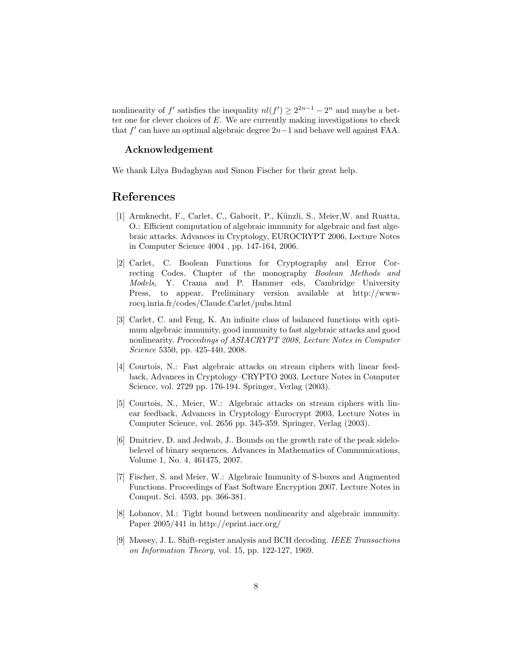nonlinearity of f' satisfies the inequality  $nl(f') \geq 2^{2n-1} - 2^n$  and maybe a better one for clever choices of  $E$ . We are currently making investigations to check that  $f'$  can have an optimal algebraic degree  $2n-1$  and behave well against FAA.

#### Acknowledgement

We thank Lilya Budaghyan and Simon Fischer for their great help.

### References

- [1] Armknecht, F., Carlet, C., Gaborit, P., Künzli, S., Meier, W. and Ruatta, O.: Efficient computation of algebraic immunity for algebraic and fast algebraic attacks. Advances in Cryptology, EUROCRYPT 2006, Lecture Notes in Computer Science 4004 , pp. 147-164, 2006.
- [2] Carlet, C. Boolean Functions for Cryptography and Error Correcting Codes. Chapter of the monography Boolean Methods and Models, Y. Crama and P. Hammer eds, Cambridge University Press, to appear. Preliminary version available at http://wwwrocq.inria.fr/codes/Claude.Carlet/pubs.html
- [3] Carlet, C. and Feng, K. An infinite class of balanced functions with optimum algebraic immunity, good immunity to fast algebraic attacks and good nonlinearity. Proceedings of ASIACRYPT 2008, Lecture Notes in Computer Science 5350, pp. 425-440, 2008.
- [4] Courtois, N.: Fast algebraic attacks on stream ciphers with linear feedback, Advances in Cryptology–CRYPTO 2003, Lecture Notes in Computer Science, vol. 2729 pp. 176-194. Springer, Verlag (2003).
- [5] Courtois, N., Meier, W.: Algebraic attacks on stream ciphers with linear feedback, Advances in Cryptology–Eurocrypt 2003, Lecture Notes in Computer Science, vol. 2656 pp. 345-359. Springer, Verlag (2003).
- [6] Dmitriev, D. and Jedwab, J.. Bounds on the growth rate of the peak sidelobelevel of binary sequences. Advances in Mathematics of Communications, Volume 1, No. 4, 461475, 2007.
- [7] Fischer, S. and Meier, W.: Algebraic Immunity of S-boxes and Augmented Functions. Proceedings of Fast Software Encryption 2007. Lecture Notes in Comput. Sci. 4593, pp. 366-381.
- [8] Lobanov, M.: Tight bound between nonlinearity and algebraic immunity. Paper 2005/441 in http://eprint.iacr.org/
- [9] Massey, J. L. Shift-register analysis and BCH decoding. IEEE Transactions on Information Theory, vol. 15, pp. 122-127, 1969.